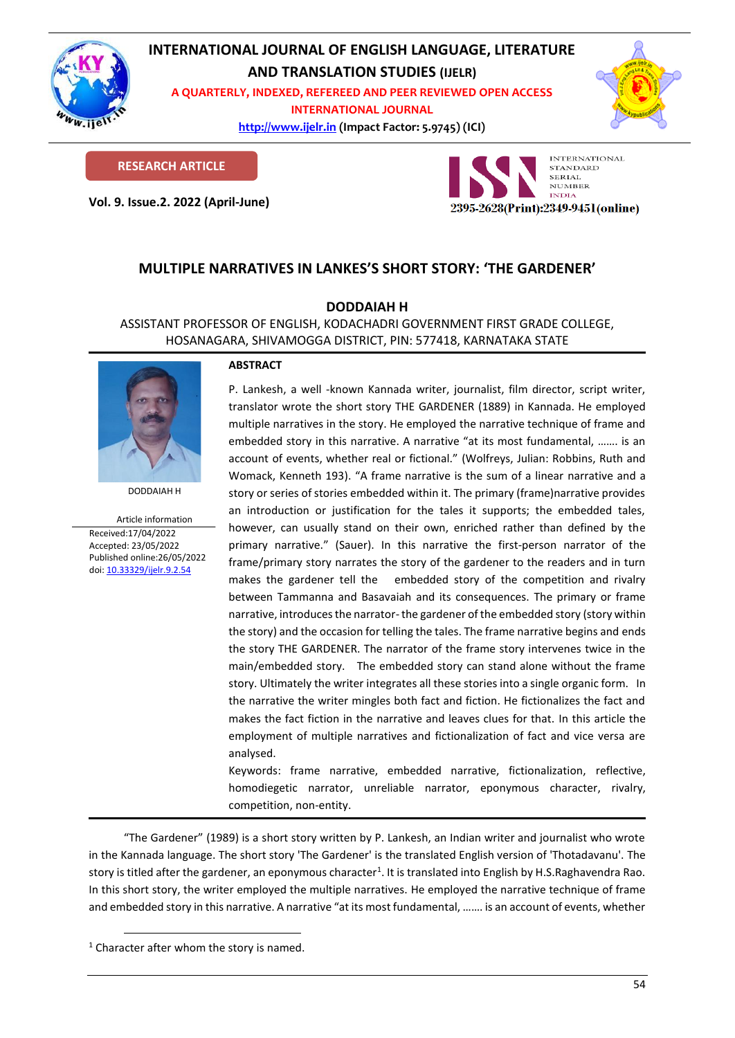

# **INTERNATIONAL JOURNAL OF ENGLISH LANGUAGE, LITERATURE**

**AND TRANSLATION STUDIES (IJELR)**

**A QUARTERLY, INDEXED, REFEREED AND PEER REVIEWED OPEN ACCESS INTERNATIONAL JOURNAL**

> **[http://www.ijelr.in](http://www.ijelr.in/) (Impact Factor: 5.9745) (ICI) KY PUBLICATIONS**



**RESEARCH ARTICLE**

**Vol. 9. Issue.2. 2022 (April-June) ARTICLE**



## **MULTIPLE NARRATIVES IN LANKES'S SHORT STORY: 'THE GARDENER'**

### **DODDAIAH H**

ASSISTANT PROFESSOR OF ENGLISH, KODACHADRI GOVERNMENT FIRST GRADE COLLEGE, HOSANAGARA, SHIVAMOGGA DISTRICT, PIN: 577418, KARNATAKA STATE



DODDAIAH H

Article information Received:17/04/2022 Accepted: 23/05/2022 Published online:26/05/2022 [doi: 10.33329/ijelr.9.2.5](http://www.ijelr.in/)4

#### **ABSTRACT**

P. Lankesh, a well -known Kannada writer, journalist, film director, script writer, translator wrote the short story THE GARDENER (1889) in Kannada. He employed multiple narratives in the story. He employed the narrative technique of frame and embedded story in this narrative. A narrative "at its most fundamental, ……. is an account of events, whether real or fictional." (Wolfreys, Julian: Robbins, Ruth and Womack, Kenneth 193). "A frame narrative is the sum of a linear narrative and a story or series of stories embedded within it. The primary (frame)narrative provides an introduction or justification for the tales it supports; the embedded tales, however, can usually stand on their own, enriched rather than defined by the primary narrative." (Sauer). In this narrative the first-person narrator of the frame/primary story narrates the story of the gardener to the readers and in turn makes the gardener tell the embedded story of the competition and rivalry between Tammanna and Basavaiah and its consequences. The primary or frame narrative, introduces the narrator-the gardener of the embedded story (story within the story) and the occasion for telling the tales. The frame narrative begins and ends the story THE GARDENER. The narrator of the frame story intervenes twice in the main/embedded story. The embedded story can stand alone without the frame story. Ultimately the writer integrates all these stories into a single organic form. In the narrative the writer mingles both fact and fiction. He fictionalizes the fact and makes the fact fiction in the narrative and leaves clues for that. In this article the employment of multiple narratives and fictionalization of fact and vice versa are analysed.

Keywords: frame narrative, embedded narrative, fictionalization, reflective, homodiegetic narrator, unreliable narrator, eponymous character, rivalry, competition, non-entity.

"The Gardener" (1989) is a short story written by P. Lankesh, an Indian writer and journalist who wrote in the Kannada language. The short story 'The Gardener' is the translated English version of 'Thotadavanu'. The story is titled after the gardener, an eponymous character<sup>1</sup>. It is translated into English by H.S.Raghavendra Rao. In this short story, the writer employed the multiple narratives. He employed the narrative technique of frame and embedded story in this narrative. A narrative "at its most fundamental, ……. is an account of events, whether

 $1$  Character after whom the story is named.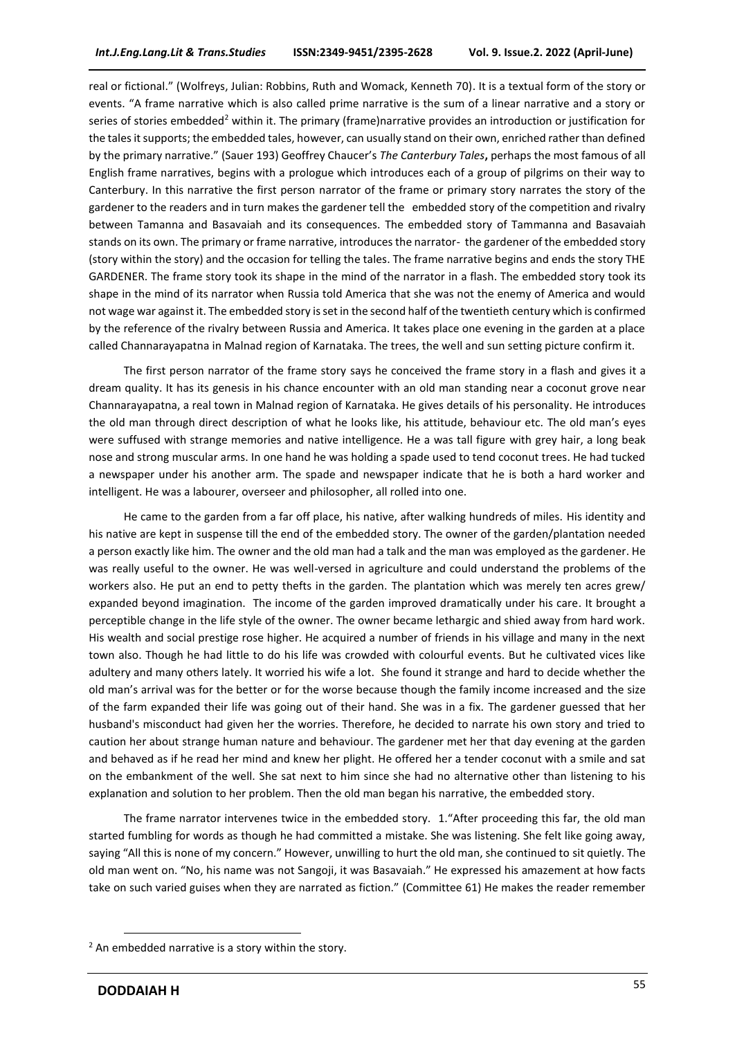real or fictional." (Wolfreys, Julian: Robbins, Ruth and Womack, Kenneth 70). It is a textual form of the story or events. "A frame narrative which is also called prime narrative is the sum of a linear narrative and a story or series of stories embedded<sup>2</sup> within it. The primary (frame)narrative provides an introduction or justification for the tales it supports; the embedded tales, however, can usually stand on their own, enriched rather than defined by the primary narrative." (Sauer 193) Geoffrey Chaucer's *The Canterbury Tales***,** perhaps the most famous of all English frame narratives, begins with a prologue which introduces each of a group of pilgrims on their way to Canterbury. In this narrative the first person narrator of the frame or primary story narrates the story of the gardener to the readers and in turn makes the gardener tell the embedded story of the competition and rivalry between Tamanna and Basavaiah and its consequences. The embedded story of Tammanna and Basavaiah stands on its own. The primary or frame narrative, introduces the narrator- the gardener of the embedded story (story within the story) and the occasion for telling the tales. The frame narrative begins and ends the story THE GARDENER. The frame story took its shape in the mind of the narrator in a flash. The embedded story took its shape in the mind of its narrator when Russia told America that she was not the enemy of America and would not wage war against it. The embedded story is set in the second half of the twentieth century which is confirmed by the reference of the rivalry between Russia and America. It takes place one evening in the garden at a place called Channarayapatna in Malnad region of Karnataka. The trees, the well and sun setting picture confirm it.

The first person narrator of the frame story says he conceived the frame story in a flash and gives it a dream quality. It has its genesis in his chance encounter with an old man standing near a coconut grove near Channarayapatna, a real town in Malnad region of Karnataka. He gives details of his personality. He introduces the old man through direct description of what he looks like, his attitude, behaviour etc. The old man's eyes were suffused with strange memories and native intelligence. He a was tall figure with grey hair, a long beak nose and strong muscular arms. In one hand he was holding a spade used to tend coconut trees. He had tucked a newspaper under his another arm. The spade and newspaper indicate that he is both a hard worker and intelligent. He was a labourer, overseer and philosopher, all rolled into one.

He came to the garden from a far off place, his native, after walking hundreds of miles. His identity and his native are kept in suspense till the end of the embedded story. The owner of the garden/plantation needed a person exactly like him. The owner and the old man had a talk and the man was employed as the gardener. He was really useful to the owner. He was well-versed in agriculture and could understand the problems of the workers also. He put an end to petty thefts in the garden. The plantation which was merely ten acres grew/ expanded beyond imagination. The income of the garden improved dramatically under his care. It brought a perceptible change in the life style of the owner. The owner became lethargic and shied away from hard work. His wealth and social prestige rose higher. He acquired a number of friends in his village and many in the next town also. Though he had little to do his life was crowded with colourful events. But he cultivated vices like adultery and many others lately. It worried his wife a lot. She found it strange and hard to decide whether the old man's arrival was for the better or for the worse because though the family income increased and the size of the farm expanded their life was going out of their hand. She was in a fix. The gardener guessed that her husband's misconduct had given her the worries. Therefore, he decided to narrate his own story and tried to caution her about strange human nature and behaviour. The gardener met her that day evening at the garden and behaved as if he read her mind and knew her plight. He offered her a tender coconut with a smile and sat on the embankment of the well. She sat next to him since she had no alternative other than listening to his explanation and solution to her problem. Then the old man began his narrative, the embedded story.

The frame narrator intervenes twice in the embedded story. 1."After proceeding this far, the old man started fumbling for words as though he had committed a mistake. She was listening. She felt like going away, saying "All this is none of my concern." However, unwilling to hurt the old man, she continued to sit quietly. The old man went on. "No, his name was not Sangoji, it was Basavaiah." He expressed his amazement at how facts take on such varied guises when they are narrated as fiction." (Committee 61) He makes the reader remember

 $2$  An embedded narrative is a story within the story.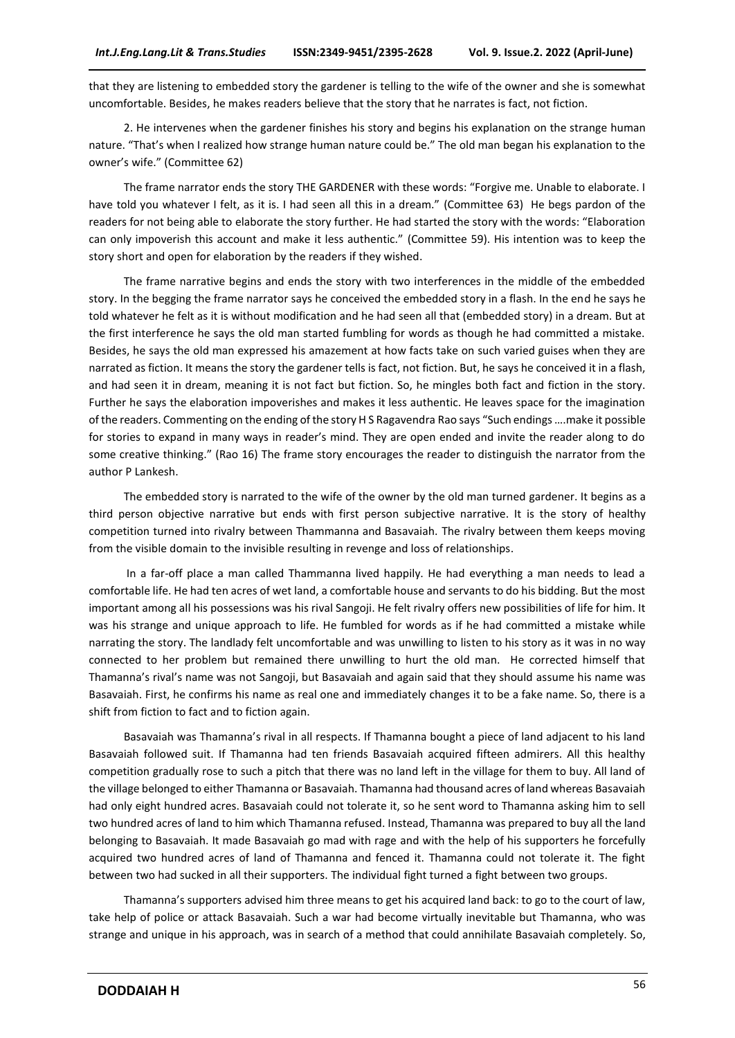that they are listening to embedded story the gardener is telling to the wife of the owner and she is somewhat uncomfortable. Besides, he makes readers believe that the story that he narrates is fact, not fiction.

2. He intervenes when the gardener finishes his story and begins his explanation on the strange human nature. "That's when I realized how strange human nature could be." The old man began his explanation to the owner's wife." (Committee 62)

The frame narrator ends the story THE GARDENER with these words: "Forgive me. Unable to elaborate. I have told you whatever I felt, as it is. I had seen all this in a dream." (Committee 63) He begs pardon of the readers for not being able to elaborate the story further. He had started the story with the words: "Elaboration can only impoverish this account and make it less authentic." (Committee 59). His intention was to keep the story short and open for elaboration by the readers if they wished.

The frame narrative begins and ends the story with two interferences in the middle of the embedded story. In the begging the frame narrator says he conceived the embedded story in a flash. In the end he says he told whatever he felt as it is without modification and he had seen all that (embedded story) in a dream. But at the first interference he says the old man started fumbling for words as though he had committed a mistake. Besides, he says the old man expressed his amazement at how facts take on such varied guises when they are narrated as fiction. It means the story the gardener tells is fact, not fiction. But, he says he conceived it in a flash, and had seen it in dream, meaning it is not fact but fiction. So, he mingles both fact and fiction in the story. Further he says the elaboration impoverishes and makes it less authentic. He leaves space for the imagination of the readers. Commenting on the ending of the story H S Ragavendra Rao says "Such endings ….make it possible for stories to expand in many ways in reader's mind. They are open ended and invite the reader along to do some creative thinking." (Rao 16) The frame story encourages the reader to distinguish the narrator from the author P Lankesh.

The embedded story is narrated to the wife of the owner by the old man turned gardener. It begins as a third person objective narrative but ends with first person subjective narrative. It is the story of healthy competition turned into rivalry between Thammanna and Basavaiah. The rivalry between them keeps moving from the visible domain to the invisible resulting in revenge and loss of relationships.

In a far-off place a man called Thammanna lived happily. He had everything a man needs to lead a comfortable life. He had ten acres of wet land, a comfortable house and servants to do his bidding. But the most important among all his possessions was his rival Sangoji. He felt rivalry offers new possibilities of life for him. It was his strange and unique approach to life. He fumbled for words as if he had committed a mistake while narrating the story. The landlady felt uncomfortable and was unwilling to listen to his story as it was in no way connected to her problem but remained there unwilling to hurt the old man. He corrected himself that Thamanna's rival's name was not Sangoji, but Basavaiah and again said that they should assume his name was Basavaiah. First, he confirms his name as real one and immediately changes it to be a fake name. So, there is a shift from fiction to fact and to fiction again.

Basavaiah was Thamanna's rival in all respects. If Thamanna bought a piece of land adjacent to his land Basavaiah followed suit. If Thamanna had ten friends Basavaiah acquired fifteen admirers. All this healthy competition gradually rose to such a pitch that there was no land left in the village for them to buy. All land of the village belonged to either Thamanna or Basavaiah. Thamanna had thousand acres of land whereas Basavaiah had only eight hundred acres. Basavaiah could not tolerate it, so he sent word to Thamanna asking him to sell two hundred acres of land to him which Thamanna refused. Instead, Thamanna was prepared to buy all the land belonging to Basavaiah. It made Basavaiah go mad with rage and with the help of his supporters he forcefully acquired two hundred acres of land of Thamanna and fenced it. Thamanna could not tolerate it. The fight between two had sucked in all their supporters. The individual fight turned a fight between two groups.

Thamanna's supporters advised him three means to get his acquired land back: to go to the court of law, take help of police or attack Basavaiah. Such a war had become virtually inevitable but Thamanna, who was strange and unique in his approach, was in search of a method that could annihilate Basavaiah completely. So,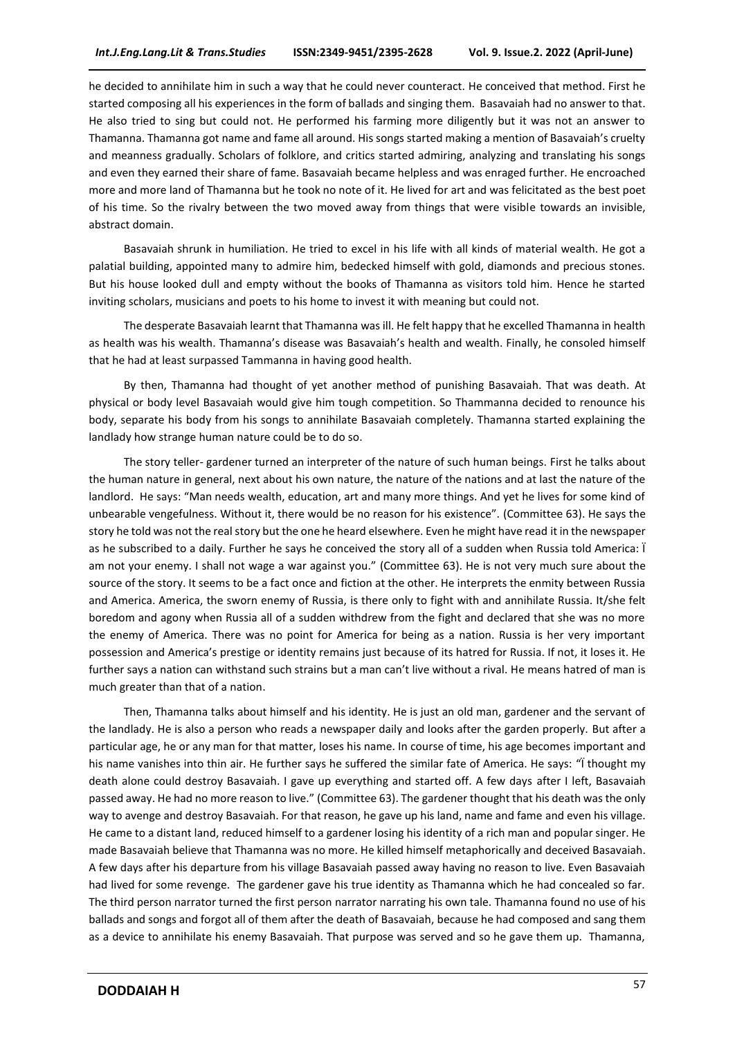he decided to annihilate him in such a way that he could never counteract. He conceived that method. First he started composing all his experiences in the form of ballads and singing them. Basavaiah had no answer to that. He also tried to sing but could not. He performed his farming more diligently but it was not an answer to Thamanna. Thamanna got name and fame all around. His songs started making a mention of Basavaiah's cruelty and meanness gradually. Scholars of folklore, and critics started admiring, analyzing and translating his songs and even they earned their share of fame. Basavaiah became helpless and was enraged further. He encroached more and more land of Thamanna but he took no note of it. He lived for art and was felicitated as the best poet of his time. So the rivalry between the two moved away from things that were visible towards an invisible, abstract domain.

Basavaiah shrunk in humiliation. He tried to excel in his life with all kinds of material wealth. He got a palatial building, appointed many to admire him, bedecked himself with gold, diamonds and precious stones. But his house looked dull and empty without the books of Thamanna as visitors told him. Hence he started inviting scholars, musicians and poets to his home to invest it with meaning but could not.

The desperate Basavaiah learnt that Thamanna was ill. He felt happy that he excelled Thamanna in health as health was his wealth. Thamanna's disease was Basavaiah's health and wealth. Finally, he consoled himself that he had at least surpassed Tammanna in having good health.

By then, Thamanna had thought of yet another method of punishing Basavaiah. That was death. At physical or body level Basavaiah would give him tough competition. So Thammanna decided to renounce his body, separate his body from his songs to annihilate Basavaiah completely. Thamanna started explaining the landlady how strange human nature could be to do so.

The story teller- gardener turned an interpreter of the nature of such human beings. First he talks about the human nature in general, next about his own nature, the nature of the nations and at last the nature of the landlord. He says: "Man needs wealth, education, art and many more things. And yet he lives for some kind of unbearable vengefulness. Without it, there would be no reason for his existence". (Committee 63). He says the story he told was not the real story but the one he heard elsewhere. Even he might have read it in the newspaper as he subscribed to a daily. Further he says he conceived the story all of a sudden when Russia told America: Ï am not your enemy. I shall not wage a war against you." (Committee 63). He is not very much sure about the source of the story. It seems to be a fact once and fiction at the other. He interprets the enmity between Russia and America. America, the sworn enemy of Russia, is there only to fight with and annihilate Russia. It/she felt boredom and agony when Russia all of a sudden withdrew from the fight and declared that she was no more the enemy of America. There was no point for America for being as a nation. Russia is her very important possession and America's prestige or identity remains just because of its hatred for Russia. If not, it loses it. He further says a nation can withstand such strains but a man can't live without a rival. He means hatred of man is much greater than that of a nation.

Then, Thamanna talks about himself and his identity. He is just an old man, gardener and the servant of the landlady. He is also a person who reads a newspaper daily and looks after the garden properly. But after a particular age, he or any man for that matter, loses his name. In course of time, his age becomes important and his name vanishes into thin air. He further says he suffered the similar fate of America. He says: "I thought my death alone could destroy Basavaiah. I gave up everything and started off. A few days after I left, Basavaiah passed away. He had no more reason to live." (Committee 63). The gardener thought that his death was the only way to avenge and destroy Basavaiah. For that reason, he gave up his land, name and fame and even his village. He came to a distant land, reduced himself to a gardener losing his identity of a rich man and popular singer. He made Basavaiah believe that Thamanna was no more. He killed himself metaphorically and deceived Basavaiah. A few days after his departure from his village Basavaiah passed away having no reason to live. Even Basavaiah had lived for some revenge. The gardener gave his true identity as Thamanna which he had concealed so far. The third person narrator turned the first person narrator narrating his own tale. Thamanna found no use of his ballads and songs and forgot all of them after the death of Basavaiah, because he had composed and sang them as a device to annihilate his enemy Basavaiah. That purpose was served and so he gave them up. Thamanna,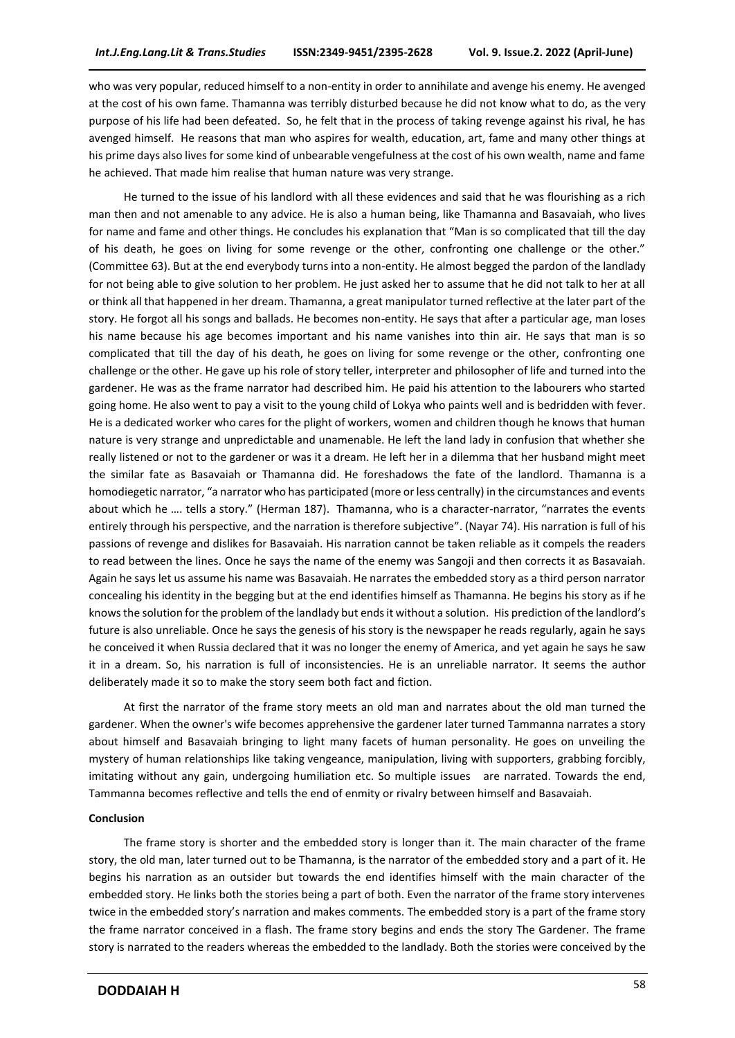who was very popular, reduced himself to a non-entity in order to annihilate and avenge his enemy. He avenged at the cost of his own fame. Thamanna was terribly disturbed because he did not know what to do, as the very purpose of his life had been defeated. So, he felt that in the process of taking revenge against his rival, he has avenged himself. He reasons that man who aspires for wealth, education, art, fame and many other things at his prime days also lives for some kind of unbearable vengefulness at the cost of his own wealth, name and fame he achieved. That made him realise that human nature was very strange.

He turned to the issue of his landlord with all these evidences and said that he was flourishing as a rich man then and not amenable to any advice. He is also a human being, like Thamanna and Basavaiah, who lives for name and fame and other things. He concludes his explanation that "Man is so complicated that till the day of his death, he goes on living for some revenge or the other, confronting one challenge or the other." (Committee 63). But at the end everybody turns into a non-entity. He almost begged the pardon of the landlady for not being able to give solution to her problem. He just asked her to assume that he did not talk to her at all or think all that happened in her dream. Thamanna, a great manipulator turned reflective at the later part of the story. He forgot all his songs and ballads. He becomes non-entity. He says that after a particular age, man loses his name because his age becomes important and his name vanishes into thin air. He says that man is so complicated that till the day of his death, he goes on living for some revenge or the other, confronting one challenge or the other. He gave up his role of story teller, interpreter and philosopher of life and turned into the gardener. He was as the frame narrator had described him. He paid his attention to the labourers who started going home. He also went to pay a visit to the young child of Lokya who paints well and is bedridden with fever. He is a dedicated worker who cares for the plight of workers, women and children though he knows that human nature is very strange and unpredictable and unamenable. He left the land lady in confusion that whether she really listened or not to the gardener or was it a dream. He left her in a dilemma that her husband might meet the similar fate as Basavaiah or Thamanna did. He foreshadows the fate of the landlord. Thamanna is a homodiegetic narrator, "a narrator who has participated (more or less centrally) in the circumstances and events about which he …. tells a story." (Herman 187). Thamanna, who is a character-narrator, "narrates the events entirely through his perspective, and the narration is therefore subjective". (Nayar 74). His narration is full of his passions of revenge and dislikes for Basavaiah. His narration cannot be taken reliable as it compels the readers to read between the lines. Once he says the name of the enemy was Sangoji and then corrects it as Basavaiah. Again he says let us assume his name was Basavaiah. He narrates the embedded story as a third person narrator concealing his identity in the begging but at the end identifies himself as Thamanna. He begins his story as if he knows the solution for the problem of the landlady but ends it without a solution. His prediction of the landlord's future is also unreliable. Once he says the genesis of his story is the newspaper he reads regularly, again he says he conceived it when Russia declared that it was no longer the enemy of America, and yet again he says he saw it in a dream. So, his narration is full of inconsistencies. He is an unreliable narrator. It seems the author deliberately made it so to make the story seem both fact and fiction.

At first the narrator of the frame story meets an old man and narrates about the old man turned the gardener. When the owner's wife becomes apprehensive the gardener later turned Tammanna narrates a story about himself and Basavaiah bringing to light many facets of human personality. He goes on unveiling the mystery of human relationships like taking vengeance, manipulation, living with supporters, grabbing forcibly, imitating without any gain, undergoing humiliation etc. So multiple issues are narrated. Towards the end, Tammanna becomes reflective and tells the end of enmity or rivalry between himself and Basavaiah.

#### **Conclusion**

The frame story is shorter and the embedded story is longer than it. The main character of the frame story, the old man, later turned out to be Thamanna, is the narrator of the embedded story and a part of it. He begins his narration as an outsider but towards the end identifies himself with the main character of the embedded story. He links both the stories being a part of both. Even the narrator of the frame story intervenes twice in the embedded story's narration and makes comments. The embedded story is a part of the frame story the frame narrator conceived in a flash. The frame story begins and ends the story The Gardener. The frame story is narrated to the readers whereas the embedded to the landlady. Both the stories were conceived by the